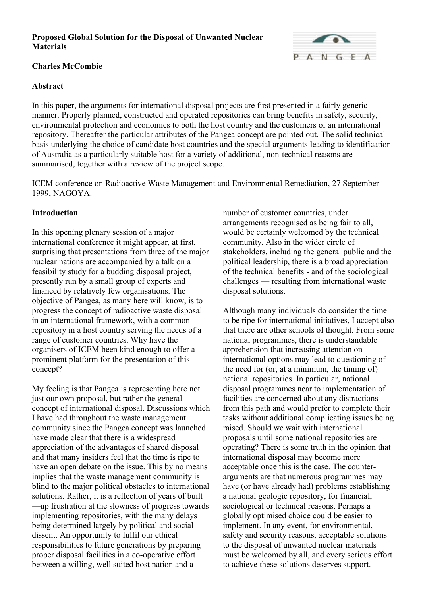## **Charles McCombie**

### **Abstract**

In this paper, the arguments for international disposal projects are first presented in a fairly generic manner. Properly planned, constructed and operated repositories can bring benefits in safety, security, environmental protection and economics to both the host country and the customers of an international repository. Thereafter the particular attributes of the Pangea concept are pointed out. The solid technical basis underlying the choice of candidate host countries and the special arguments leading to identification of Australia as a particularly suitable host for a variety of additional, non-technical reasons are summarised, together with a review of the project scope.

ICEM conference on Radioactive Waste Management and Environmental Remediation, 27 September 1999, NAGOYA.

### **Introduction**

In this opening plenary session of a major international conference it might appear, at first, surprising that presentations from three of the major nuclear nations are accompanied by a talk on a feasibility study for a budding disposal project, presently run by a small group of experts and financed by relatively few organisations. The objective of Pangea, as many here will know, is to progress the concept of radioactive waste disposal in an international framework, with a common repository in a host country serving the needs of a range of customer countries. Why have the organisers of ICEM been kind enough to offer a prominent platform for the presentation of this concept?

My feeling is that Pangea is representing here not just our own proposal, but rather the general concept of international disposal. Discussions which I have had throughout the waste management community since the Pangea concept was launched have made clear that there is a widespread appreciation of the advantages of shared disposal and that many insiders feel that the time is ripe to have an open debate on the issue. This by no means implies that the waste management community is blind to the major political obstacles to international solutions. Rather, it is a reflection of years of built —up frustration at the slowness of progress towards implementing repositories, with the many delays being determined largely by political and social dissent. An opportunity to fulfil our ethical responsibilities to future generations by preparing proper disposal facilities in a co-operative effort between a willing, well suited host nation and a

number of customer countries, under arrangements recognised as being fair to all, would be certainly welcomed by the technical community. Also in the wider circle of stakeholders, including the general public and the political leadership, there is a broad appreciation of the technical benefits - and of the sociological challenges — resulting from international waste disposal solutions.

Although many individuals do consider the time to be ripe for international initiatives, I accept also that there are other schools of thought. From some national programmes, there is understandable apprehension that increasing attention on international options may lead to questioning of the need for (or, at a minimum, the timing of) national repositories. In particular, national disposal programmes near to implementation of facilities are concerned about any distractions from this path and would prefer to complete their tasks without additional complicating issues being raised. Should we wait with international proposals until some national repositories are operating? There is some truth in the opinion that international disposal may become more acceptable once this is the case. The counterarguments are that numerous programmes may have (or have already had) problems establishing a national geologic repository, for financial, sociological or technical reasons. Perhaps a globally optimised choice could be easier to implement. In any event, for environmental, safety and security reasons, acceptable solutions to the disposal of unwanted nuclear materials must be welcomed by all, and every serious effort to achieve these solutions deserves support.

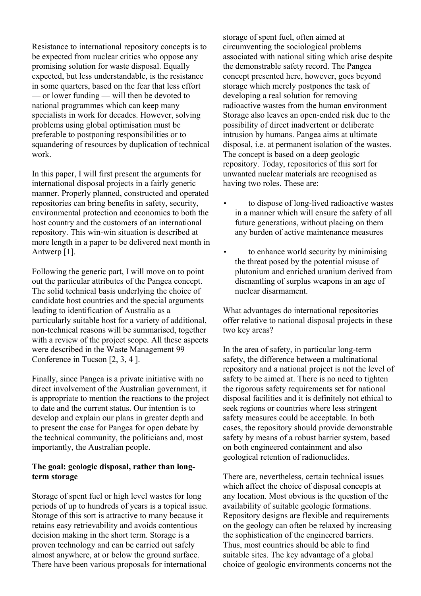Resistance to international repository concepts is to be expected from nuclear critics who oppose any promising solution for waste disposal. Equally expected, but less understandable, is the resistance in some quarters, based on the fear that less effort — or lower funding — will then be devoted to national programmes which can keep many specialists in work for decades. However, solving problems using global optimisation must be preferable to postponing responsibilities or to squandering of resources by duplication of technical work.

In this paper, I will first present the arguments for international disposal projects in a fairly generic manner. Properly planned, constructed and operated repositories can bring benefits in safety, security, environmental protection and economics to both the host country and the customers of an international repository. This win-win situation is described at more length in a paper to be delivered next month in Antwerp [1].

Following the generic part, I will move on to point out the particular attributes of the Pangea concept. The solid technical basis underlying the choice of candidate host countries and the special arguments leading to identification of Australia as a particularly suitable host for a variety of additional, non-technical reasons will be summarised, together with a review of the project scope. All these aspects were described in the Waste Management 99 Conference in Tucson [2, 3, 4 ].

Finally, since Pangea is a private initiative with no direct involvement of the Australian government, it is appropriate to mention the reactions to the project to date and the current status. Our intention is to develop and explain our plans in greater depth and to present the case for Pangea for open debate by the technical community, the politicians and, most importantly, the Australian people.

### **The goal: geologic disposal, rather than longterm storage**

Storage of spent fuel or high level wastes for long periods of up to hundreds of years is a topical issue. Storage of this sort is attractive to many because it retains easy retrievability and avoids contentious decision making in the short term. Storage is a proven technology and can be carried out safely almost anywhere, at or below the ground surface. There have been various proposals for international

storage of spent fuel, often aimed at circumventing the sociological problems associated with national siting which arise despite the demonstrable safety record. The Pangea concept presented here, however, goes beyond storage which merely postpones the task of developing a real solution for removing radioactive wastes from the human environment Storage also leaves an open-ended risk due to the possibility of direct inadvertent or deliberate intrusion by humans. Pangea aims at ultimate disposal, i.e. at permanent isolation of the wastes. The concept is based on a deep geologic repository. Today, repositories of this sort for unwanted nuclear materials are recognised as having two roles. These are:

- to dispose of long-lived radioactive wastes in a manner which will ensure the safety of all future generations, without placing on them any burden of active maintenance measures
- to enhance world security by minimising the threat posed by the potential misuse of plutonium and enriched uranium derived from dismantling of surplus weapons in an age of nuclear disarmament.

What advantages do international repositories offer relative to national disposal projects in these two key areas?

In the area of safety, in particular long-term safety, the difference between a multinational repository and a national project is not the level of safety to be aimed at. There is no need to tighten the rigorous safety requirements set for national disposal facilities and it is definitely not ethical to seek regions or countries where less stringent safety measures could be acceptable. In both cases, the repository should provide demonstrable safety by means of a robust barrier system, based on both engineered containment and also geological retention of radionuclides.

There are, nevertheless, certain technical issues which affect the choice of disposal concepts at any location. Most obvious is the question of the availability of suitable geologic formations. Repository designs are flexible and requirements on the geology can often be relaxed by increasing the sophistication of the engineered barriers. Thus, most countries should be able to find suitable sites. The key advantage of a global choice of geologic environments concerns not the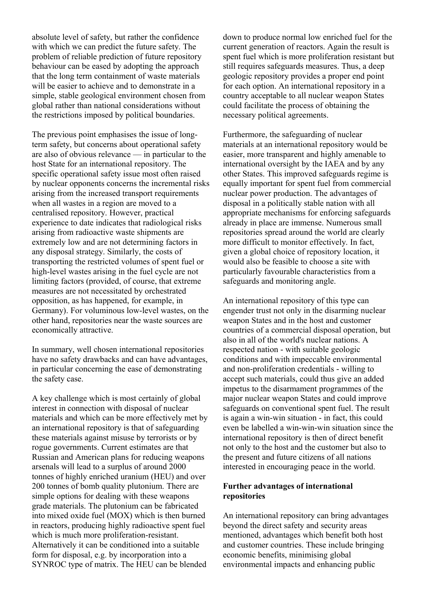absolute level of safety, but rather the confidence with which we can predict the future safety. The problem of reliable prediction of future repository behaviour can be eased by adopting the approach that the long term containment of waste materials will be easier to achieve and to demonstrate in a simple, stable geological environment chosen from global rather than national considerations without the restrictions imposed by political boundaries.

The previous point emphasises the issue of longterm safety, but concerns about operational safety are also of obvious relevance — in particular to the host State for an international repository. The specific operational safety issue most often raised by nuclear opponents concerns the incremental risks arising from the increased transport requirements when all wastes in a region are moved to a centralised repository. However, practical experience to date indicates that radiological risks arising from radioactive waste shipments are extremely low and are not determining factors in any disposal strategy. Similarly, the costs of transporting the restricted volumes of spent fuel or high-level wastes arising in the fuel cycle are not limiting factors (provided, of course, that extreme measures are not necessitated by orchestrated opposition, as has happened, for example, in Germany). For voluminous low-level wastes, on the other hand, repositories near the waste sources are economically attractive.

In summary, well chosen international repositories have no safety drawbacks and can have advantages, in particular concerning the ease of demonstrating the safety case.

A key challenge which is most certainly of global interest in connection with disposal of nuclear materials and which can be more effectively met by an international repository is that of safeguarding these materials against misuse by terrorists or by rogue governments. Current estimates are that Russian and American plans for reducing weapons arsenals will lead to a surplus of around 2000 tonnes of highly enriched uranium (HEU) and over 200 tonnes of bomb quality plutonium. There are simple options for dealing with these weapons grade materials. The plutonium can be fabricated into mixed oxide fuel (MOX) which is then burned in reactors, producing highly radioactive spent fuel which is much more proliferation-resistant. Alternatively it can be conditioned into a suitable form for disposal, e.g. by incorporation into a SYNROC type of matrix. The HEU can be blended

down to produce normal low enriched fuel for the current generation of reactors. Again the result is spent fuel which is more proliferation resistant but still requires safeguards measures. Thus, a deep geologic repository provides a proper end point for each option. An international repository in a country acceptable to all nuclear weapon States could facilitate the process of obtaining the necessary political agreements.

Furthermore, the safeguarding of nuclear materials at an international repository would be easier, more transparent and highly amenable to international oversight by the IAEA and by any other States. This improved safeguards regime is equally important for spent fuel from commercial nuclear power production. The advantages of disposal in a politically stable nation with all appropriate mechanisms for enforcing safeguards already in place are immense. Numerous small repositories spread around the world are clearly more difficult to monitor effectively. In fact, given a global choice of repository location, it would also be feasible to choose a site with particularly favourable characteristics from a safeguards and monitoring angle.

An international repository of this type can engender trust not only in the disarming nuclear weapon States and in the host and customer countries of a commercial disposal operation, but also in all of the world's nuclear nations. A respected nation - with suitable geologic conditions and with impeccable environmental and non-proliferation credentials - willing to accept such materials, could thus give an added impetus to the disarmament programmes of the major nuclear weapon States and could improve safeguards on conventional spent fuel. The result is again a win-win situation - in fact, this could even be labelled a win-win-win situation since the international repository is then of direct benefit not only to the host and the customer but also to the present and future citizens of all nations interested in encouraging peace in the world.

#### **Further advantages of international repositories**

An international repository can bring advantages beyond the direct safety and security areas mentioned, advantages which benefit both host and customer countries. These include bringing economic benefits, minimising global environmental impacts and enhancing public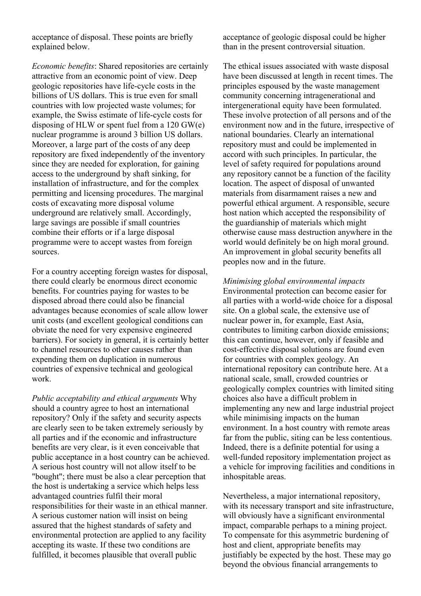acceptance of disposal. These points are briefly explained below.

*Economic benefits*: Shared repositories are certainly attractive from an economic point of view. Deep geologic repositories have life-cycle costs in the billions of US dollars. This is true even for small countries with low projected waste volumes; for example, the Swiss estimate of life-cycle costs for disposing of HLW or spent fuel from a 120 GW(e) nuclear programme is around 3 billion US dollars. Moreover, a large part of the costs of any deep repository are fixed independently of the inventory since they are needed for exploration, for gaining access to the underground by shaft sinking, for installation of infrastructure, and for the complex permitting and licensing procedures. The marginal costs of excavating more disposal volume underground are relatively small. Accordingly, large savings are possible if small countries combine their efforts or if a large disposal programme were to accept wastes from foreign sources.

For a country accepting foreign wastes for disposal, there could clearly be enormous direct economic benefits. For countries paying for wastes to be disposed abroad there could also be financial advantages because economies of scale allow lower unit costs (and excellent geological conditions can obviate the need for very expensive engineered barriers). For society in general, it is certainly better to channel resources to other causes rather than expending them on duplication in numerous countries of expensive technical and geological work.

*Public acceptability and ethical arguments* Why should a country agree to host an international repository? Only if the safety and security aspects are clearly seen to be taken extremely seriously by all parties and if the economic and infrastructure benefits are very clear, is it even conceivable that public acceptance in a host country can be achieved. A serious host country will not allow itself to be "bought"; there must be also a clear perception that the host is undertaking a service which helps less advantaged countries fulfil their moral responsibilities for their waste in an ethical manner. A serious customer nation will insist on being assured that the highest standards of safety and environmental protection are applied to any facility accepting its waste. If these two conditions are fulfilled, it becomes plausible that overall public

acceptance of geologic disposal could be higher than in the present controversial situation.

The ethical issues associated with waste disposal have been discussed at length in recent times. The principles espoused by the waste management community concerning intragenerational and intergenerational equity have been formulated. These involve protection of all persons and of the environment now and in the future, irrespective of national boundaries. Clearly an international repository must and could be implemented in accord with such principles. In particular, the level of safety required for populations around any repository cannot be a function of the facility location. The aspect of disposal of unwanted materials from disarmament raises a new and powerful ethical argument. A responsible, secure host nation which accepted the responsibility of the guardianship of materials which might otherwise cause mass destruction anywhere in the world would definitely be on high moral ground. An improvement in global security benefits all peoples now and in the future.

*Minimising global environmental impacts* Environmental protection can become easier for all parties with a world-wide choice for a disposal site. On a global scale, the extensive use of nuclear power in, for example, East Asia, contributes to limiting carbon dioxide emissions; this can continue, however, only if feasible and cost-effective disposal solutions are found even for countries with complex geology. An international repository can contribute here. At a national scale, small, crowded countries or geologically complex countries with limited siting choices also have a difficult problem in implementing any new and large industrial project while minimising impacts on the human environment. In a host country with remote areas far from the public, siting can be less contentious. Indeed, there is a definite potential for using a well-funded repository implementation project as a vehicle for improving facilities and conditions in inhospitable areas.

Nevertheless, a major international repository, with its necessary transport and site infrastructure, will obviously have a significant environmental impact, comparable perhaps to a mining project. To compensate for this asymmetric burdening of host and client, appropriate benefits may justifiably be expected by the host. These may go beyond the obvious financial arrangements to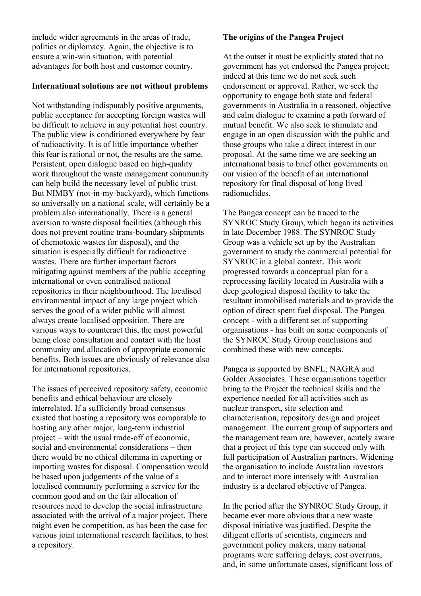include wider agreements in the areas of trade, politics or diplomacy. Again, the objective is to ensure a win-win situation, with potential advantages for both host and customer country.

#### **International solutions are not without problems**

Not withstanding indisputably positive arguments, public acceptance for accepting foreign wastes will be difficult to achieve in any potential host country. The public view is conditioned everywhere by fear of radioactivity. It is of little importance whether this fear is rational or not, the results are the same. Persistent, open dialogue based on high-quality work throughout the waste management community can help build the necessary level of public trust. But NIMBY (not-in-my-backyard), which functions so universally on a national scale, will certainly be a problem also internationally. There is a general aversion to waste disposal facilities (although this does not prevent routine trans-boundary shipments of chemotoxic wastes for disposal), and the situation is especially difficult for radioactive wastes. There are further important factors mitigating against members of the public accepting international or even centralised national repositories in their neighbourhood. The localised environmental impact of any large project which serves the good of a wider public will almost always create localised opposition. There are various ways to counteract this, the most powerful being close consultation and contact with the host community and allocation of appropriate economic benefits. Both issues are obviously of relevance also for international repositories.

The issues of perceived repository safety, economic benefits and ethical behaviour are closely interrelated. If a sufficiently broad consensus existed that hosting a repository was comparable to hosting any other major, long-term industrial project – with the usual trade-off of economic, social and environmental considerations – then there would be no ethical dilemma in exporting or importing wastes for disposal. Compensation would be based upon judgements of the value of a localised community performing a service for the common good and on the fair allocation of resources need to develop the social infrastructure associated with the arrival of a major project. There might even be competition, as has been the case for various joint international research facilities, to host a repository.

## **The origins of the Pangea Project**

At the outset it must be explicitly stated that no government has yet endorsed the Pangea project; indeed at this time we do not seek such endorsement or approval. Rather, we seek the opportunity to engage both state and federal governments in Australia in a reasoned, objective and calm dialogue to examine a path forward of mutual benefit. We also seek to stimulate and engage in an open discussion with the public and those groups who take a direct interest in our proposal. At the same time we are seeking an international basis to brief other governments on our vision of the benefit of an international repository for final disposal of long lived radionuclides.

The Pangea concept can be traced to the SYNROC Study Group, which began its activities in late December 1988. The SYNROC Study Group was a vehicle set up by the Australian government to study the commercial potential for SYNROC in a global context. This work progressed towards a conceptual plan for a reprocessing facility located in Australia with a deep geological disposal facility to take the resultant immobilised materials and to provide the option of direct spent fuel disposal. The Pangea concept - with a different set of supporting organisations - has built on some components of the SYNROC Study Group conclusions and combined these with new concepts.

Pangea is supported by BNFL; NAGRA and Golder Associates. These organisations together bring to the Project the technical skills and the experience needed for all activities such as nuclear transport, site selection and characterisation, repository design and project management. The current group of supporters and the management team are, however, acutely aware that a project of this type can succeed only with full participation of Australian partners. Widening the organisation to include Australian investors and to interact more intensely with Australian industry is a declared objective of Pangea.

In the period after the SYNROC Study Group, it became ever more obvious that a new waste disposal initiative was justified. Despite the diligent efforts of scientists, engineers and government policy makers, many national programs were suffering delays, cost overruns, and, in some unfortunate cases, significant loss of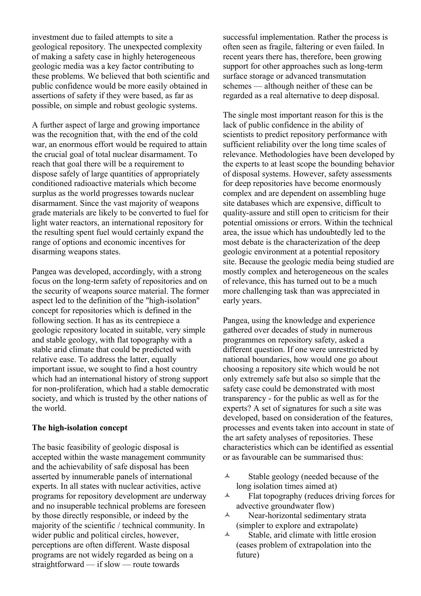investment due to failed attempts to site a geological repository. The unexpected complexity of making a safety case in highly heterogeneous geologic media was a key factor contributing to these problems. We believed that both scientific and public confidence would be more easily obtained in assertions of safety if they were based, as far as possible, on simple and robust geologic systems.

A further aspect of large and growing importance was the recognition that, with the end of the cold war, an enormous effort would be required to attain the crucial goal of total nuclear disarmament. To reach that goal there will be a requirement to dispose safely of large quantities of appropriately conditioned radioactive materials which become surplus as the world progresses towards nuclear disarmament. Since the vast majority of weapons grade materials are likely to be converted to fuel for light water reactors, an international repository for the resulting spent fuel would certainly expand the range of options and economic incentives for disarming weapons states.

Pangea was developed, accordingly, with a strong focus on the long-term safety of repositories and on the security of weapons source material. The former aspect led to the definition of the "high-isolation" concept for repositories which is defined in the following section. It has as its centrepiece a geologic repository located in suitable, very simple and stable geology, with flat topography with a stable arid climate that could be predicted with relative ease. To address the latter, equally important issue, we sought to find a host country which had an international history of strong support for non-proliferation, which had a stable democratic society, and which is trusted by the other nations of the world.

#### **The high-isolation concept**

The basic feasibility of geologic disposal is accepted within the waste management community and the achievability of safe disposal has been asserted by innumerable panels of international experts. In all states with nuclear activities, active programs for repository development are underway and no insuperable technical problems are foreseen by those directly responsible, or indeed by the majority of the scientific / technical community. In wider public and political circles, however, perceptions are often different. Waste disposal programs are not widely regarded as being on a straightforward — if slow — route towards

successful implementation. Rather the process is often seen as fragile, faltering or even failed. In recent years there has, therefore, been growing support for other approaches such as long-term surface storage or advanced transmutation schemes — although neither of these can be regarded as a real alternative to deep disposal.

The single most important reason for this is the lack of public confidence in the ability of scientists to predict repository performance with sufficient reliability over the long time scales of relevance. Methodologies have been developed by the experts to at least scope the bounding behavior of disposal systems. However, safety assessments for deep repositories have become enormously complex and are dependent on assembling huge site databases which are expensive, difficult to quality-assure and still open to criticism for their potential omissions or errors. Within the technical area, the issue which has undoubtedly led to the most debate is the characterization of the deep geologic environment at a potential repository site. Because the geologic media being studied are mostly complex and heterogeneous on the scales of relevance, this has turned out to be a much more challenging task than was appreciated in early years.

Pangea, using the knowledge and experience gathered over decades of study in numerous programmes on repository safety, asked a different question. If one were unrestricted by national boundaries, how would one go about choosing a repository site which would be not only extremely safe but also so simple that the safety case could be demonstrated with most transparency - for the public as well as for the experts? A set of signatures for such a site was developed, based on consideration of the features, processes and events taken into account in state of the art safety analyses of repositories. These characteristics which can be identified as essential or as favourable can be summarised thus:

- $\triangle$  Stable geology (needed because of the long isolation times aimed at)
- $\lambda$  Flat topography (reduces driving forces for advective groundwater flow)
- Near-horizontal sedimentary strata (simpler to explore and extrapolate)
- $\lambda$  Stable, arid climate with little erosion (eases problem of extrapolation into the future)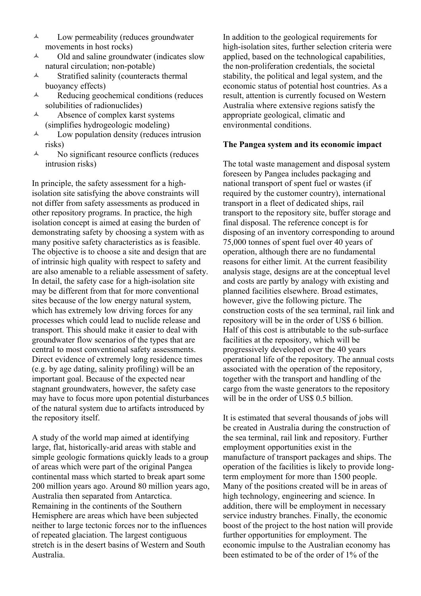- $\lambda$  Low permeability (reduces groundwater movements in host rocks)
- $\lambda$  Old and saline groundwater (indicates slow natural circulation; non-potable)
- A Stratified salinity (counteracts thermal buoyancy effects)
- $\lambda$  Reducing geochemical conditions (reduces solubilities of radionuclides)
- $\lambda$  Absence of complex karst systems (simplifies hydrogeologic modeling)
- $\lambda$  Low population density (reduces intrusion risks)
- $\lambda$  No significant resource conflicts (reduces intrusion risks)

In principle, the safety assessment for a highisolation site satisfying the above constraints will not differ from safety assessments as produced in other repository programs. In practice, the high isolation concept is aimed at easing the burden of demonstrating safety by choosing a system with as many positive safety characteristics as is feasible. The objective is to choose a site and design that are of intrinsic high quality with respect to safety and are also amenable to a reliable assessment of safety. In detail, the safety case for a high-isolation site may be different from that for more conventional sites because of the low energy natural system, which has extremely low driving forces for any processes which could lead to nuclide release and transport. This should make it easier to deal with groundwater flow scenarios of the types that are central to most conventional safety assessments. Direct evidence of extremely long residence times (e.g. by age dating, salinity profiling) will be an important goal. Because of the expected near stagnant groundwaters, however, the safety case may have to focus more upon potential disturbances of the natural system due to artifacts introduced by the repository itself.

A study of the world map aimed at identifying large, flat, historically-arid areas with stable and simple geologic formations quickly leads to a group of areas which were part of the original Pangea continental mass which started to break apart some 200 million years ago. Around 80 million years ago, Australia then separated from Antarctica. Remaining in the continents of the Southern Hemisphere are areas which have been subjected neither to large tectonic forces nor to the influences of repeated glaciation. The largest contiguous stretch is in the desert basins of Western and South Australia.

In addition to the geological requirements for high-isolation sites, further selection criteria were applied, based on the technological capabilities, the non-proliferation credentials, the societal stability, the political and legal system, and the economic status of potential host countries. As a result, attention is currently focused on Western Australia where extensive regions satisfy the appropriate geological, climatic and environmental conditions.

### **The Pangea system and its economic impact**

The total waste management and disposal system foreseen by Pangea includes packaging and national transport of spent fuel or wastes (if required by the customer country), international transport in a fleet of dedicated ships, rail transport to the repository site, buffer storage and final disposal. The reference concept is for disposing of an inventory corresponding to around 75,000 tonnes of spent fuel over 40 years of operation, although there are no fundamental reasons for either limit. At the current feasibility analysis stage, designs are at the conceptual level and costs are partly by analogy with existing and planned facilities elsewhere. Broad estimates, however, give the following picture. The construction costs of the sea terminal, rail link and repository will be in the order of US\$ 6 billion. Half of this cost is attributable to the sub-surface facilities at the repository, which will be progressively developed over the 40 years operational life of the repository. The annual costs associated with the operation of the repository, together with the transport and handling of the cargo from the waste generators to the repository will be in the order of US\$ 0.5 billion.

It is estimated that several thousands of jobs will be created in Australia during the construction of the sea terminal, rail link and repository. Further employment opportunities exist in the manufacture of transport packages and ships. The operation of the facilities is likely to provide longterm employment for more than 1500 people. Many of the positions created will be in areas of high technology, engineering and science. In addition, there will be employment in necessary service industry branches. Finally, the economic boost of the project to the host nation will provide further opportunities for employment. The economic impulse to the Australian economy has been estimated to be of the order of 1% of the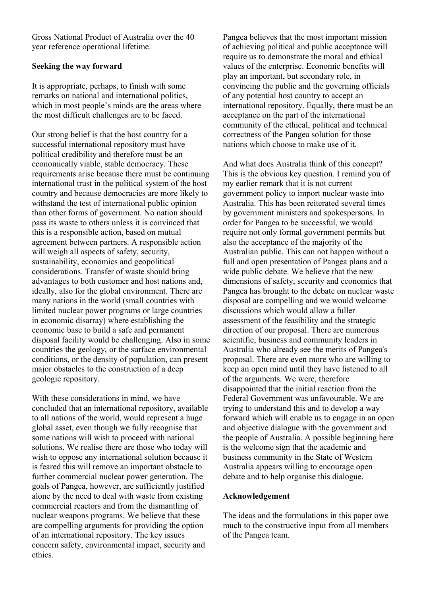Gross National Product of Australia over the 40 year reference operational lifetime.

### **Seeking the way forward**

It is appropriate, perhaps, to finish with some remarks on national and international politics, which in most people's minds are the areas where the most difficult challenges are to be faced.

Our strong belief is that the host country for a successful international repository must have political credibility and therefore must be an economically viable, stable democracy. These requirements arise because there must be continuing international trust in the political system of the host country and because democracies are more likely to withstand the test of international public opinion than other forms of government. No nation should pass its waste to others unless it is convinced that this is a responsible action, based on mutual agreement between partners. A responsible action will weigh all aspects of safety, security, sustainability, economics and geopolitical considerations. Transfer of waste should bring advantages to both customer and host nations and, ideally, also for the global environment. There are many nations in the world (small countries with limited nuclear power programs or large countries in economic disarray) where establishing the economic base to build a safe and permanent disposal facility would be challenging. Also in some countries the geology, or the surface environmental conditions, or the density of population, can present major obstacles to the construction of a deep geologic repository.

With these considerations in mind, we have concluded that an international repository, available to all nations of the world, would represent a huge global asset, even though we fully recognise that some nations will wish to proceed with national solutions. We realise there are those who today will wish to oppose any international solution because it is feared this will remove an important obstacle to further commercial nuclear power generation. The goals of Pangea, however, are sufficiently justified alone by the need to deal with waste from existing commercial reactors and from the dismantling of nuclear weapons programs. We believe that these are compelling arguments for providing the option of an international repository. The key issues concern safety, environmental impact, security and ethics.

Pangea believes that the most important mission of achieving political and public acceptance will require us to demonstrate the moral and ethical values of the enterprise. Economic benefits will play an important, but secondary role, in convincing the public and the governing officials of any potential host country to accept an international repository. Equally, there must be an acceptance on the part of the international community of the ethical, political and technical correctness of the Pangea solution for those nations which choose to make use of it.

And what does Australia think of this concept? This is the obvious key question. I remind you of my earlier remark that it is not current government policy to import nuclear waste into Australia. This has been reiterated several times by government ministers and spokespersons. In order for Pangea to be successful, we would require not only formal government permits but also the acceptance of the majority of the Australian public. This can not happen without a full and open presentation of Pangea plans and a wide public debate. We believe that the new dimensions of safety, security and economics that Pangea has brought to the debate on nuclear waste disposal are compelling and we would welcome discussions which would allow a fuller assessment of the feasibility and the strategic direction of our proposal. There are numerous scientific, business and community leaders in Australia who already see the merits of Pangea's proposal. There are even more who are willing to keep an open mind until they have listened to all of the arguments. We were, therefore disappointed that the initial reaction from the Federal Government was unfavourable. We are trying to understand this and to develop a way forward which will enable us to engage in an open and objective dialogue with the government and the people of Australia. A possible beginning here is the welcome sign that the academic and business community in the State of Western Australia appears willing to encourage open debate and to help organise this dialogue.

#### **Acknowledgement**

The ideas and the formulations in this paper owe much to the constructive input from all members of the Pangea team.